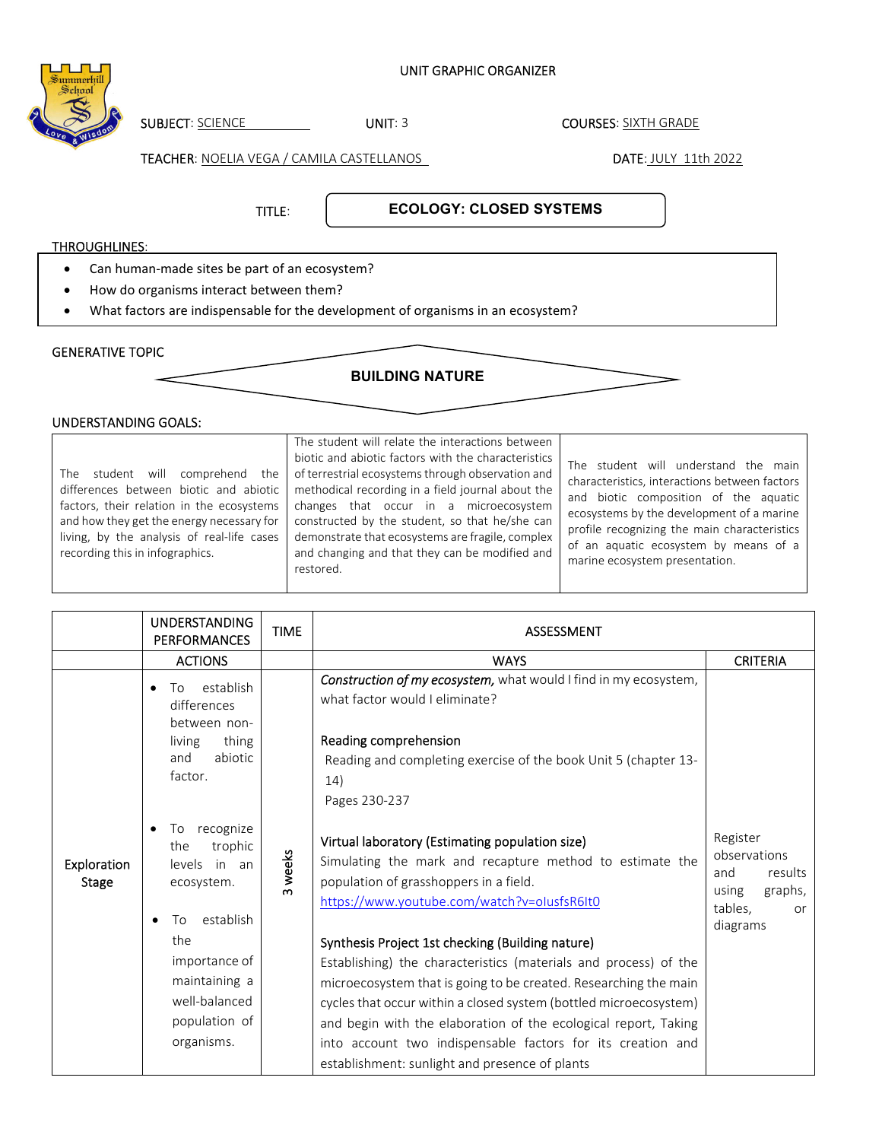## SUBJECT: SCIENCE UNIT: 3 COURSES: SIXTH GRADE TEACHER: NOELIA VEGA / CAMILA CASTELLANOS **DATE: JULY 11th 2022**  $\overline{a}$ TITLE: THROUGHLINES: GENERATIVE TOPIC Can human-made sites be part of an ecosystem? How do organisms interact between them? What factors are indispensable for the development of organisms in an ecosystem? **BUILDING NATURE ECOLOGY: CLOSED SYSTEMS**

UNIT GRAPHIC ORGANIZER

## UNDERSTANDING GOALS:

The student will comprehend the differences between biotic and abiotic factors, their relation in the ecosystems and how they get the energy necessary for living, by the analysis of real-life cases recording this in infographics.

The student will relate the interactions between biotic and abiotic factors with the characteristics of terrestrial ecosystems through observation and methodical recording in a field journal about the changes that occur in a microecosystem constructed by the student, so that he/she can demonstrate that ecosystems are fragile, complex and changing and that they can be modified and restored.

The student will understand the main characteristics, interactions between factors and biotic composition of the aquatic ecosystems by the development of a marine profile recognizing the main characteristics of an aquatic ecosystem by means of a marine ecosystem presentation.

|                             | <b>UNDERSTANDING</b><br><b>PERFORMANCES</b>                                                                                                                                    | <b>TIME</b> | <b>ASSESSMENT</b>                                                                                                                                                                                                                                                                                                                                                                                                                                                                                                                                                                                                                                         |                                                                                             |  |
|-----------------------------|--------------------------------------------------------------------------------------------------------------------------------------------------------------------------------|-------------|-----------------------------------------------------------------------------------------------------------------------------------------------------------------------------------------------------------------------------------------------------------------------------------------------------------------------------------------------------------------------------------------------------------------------------------------------------------------------------------------------------------------------------------------------------------------------------------------------------------------------------------------------------------|---------------------------------------------------------------------------------------------|--|
|                             | <b>ACTIONS</b>                                                                                                                                                                 |             | <b>WAYS</b>                                                                                                                                                                                                                                                                                                                                                                                                                                                                                                                                                                                                                                               | <b>CRITERIA</b>                                                                             |  |
|                             | establish<br>To<br>$\bullet$<br>differences<br>between non-<br>thing<br>living<br>abiotic<br>and<br>factor.                                                                    |             | Construction of my ecosystem, what would I find in my ecosystem,<br>what factor would I eliminate?<br>Reading comprehension<br>Reading and completing exercise of the book Unit 5 (chapter 13-<br>14)<br>Pages 230-237                                                                                                                                                                                                                                                                                                                                                                                                                                    |                                                                                             |  |
| Exploration<br><b>Stage</b> | recognize<br>To<br>trophic<br>the<br>levels<br>in an<br>ecosystem.<br>establish<br>Tο<br>the<br>importance of<br>maintaining a<br>well-balanced<br>population of<br>organisms. | 3 weeks     | Virtual laboratory (Estimating population size)<br>Simulating the mark and recapture method to estimate the<br>population of grasshoppers in a field.<br>https://www.youtube.com/watch?v=olusfsR6It0<br>Synthesis Project 1st checking (Building nature)<br>Establishing) the characteristics (materials and process) of the<br>microecosystem that is going to be created. Researching the main<br>cycles that occur within a closed system (bottled microecosystem)<br>and begin with the elaboration of the ecological report, Taking<br>into account two indispensable factors for its creation and<br>establishment: sunlight and presence of plants | Register<br>observations<br>and<br>results<br>graphs,<br>using<br>tables,<br>or<br>diagrams |  |